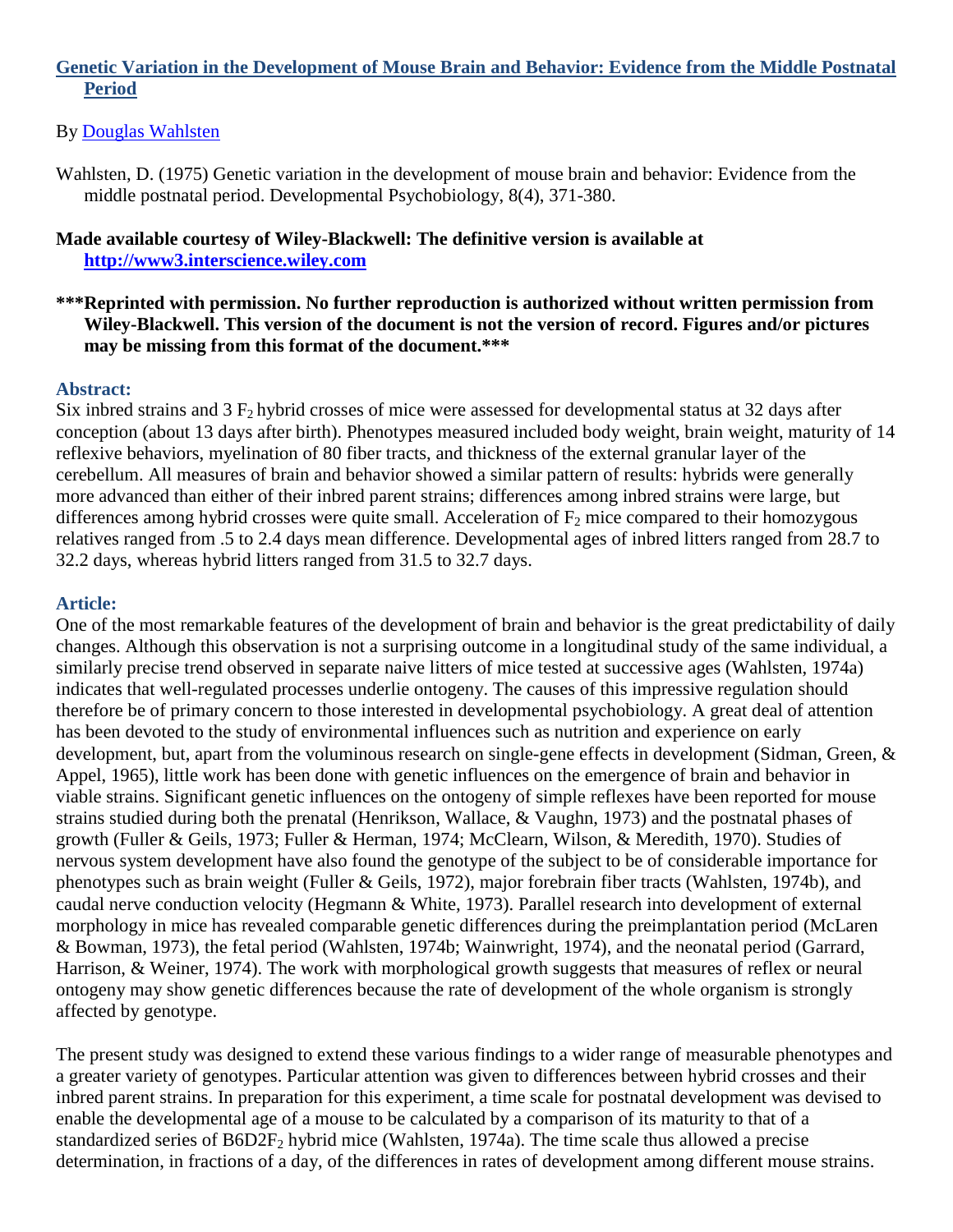### **Genetic Variation in the Development of Mouse Brain and Behavior: Evidence from the Middle Postnatal Period**

#### By [Douglas Wahlsten](http://libres.uncg.edu/ir/uncg/clist.aspx?id=3463)

Wahlsten, D. (1975) Genetic variation in the development of mouse brain and behavior: Evidence from the middle postnatal period. Developmental Psychobiology, 8(4), 371-380.

#### **Made available courtesy of Wiley-Blackwell: The definitive version is available at [http://www3.interscience.wiley.com](http://www3.interscience.wiley.com/)**

### **\*\*\*Reprinted with permission. No further reproduction is authorized without written permission from Wiley-Blackwell. This version of the document is not the version of record. Figures and/or pictures may be missing from this format of the document.\*\*\***

#### **Abstract:**

Six inbred strains and  $3 F<sub>2</sub>$  hybrid crosses of mice were assessed for developmental status at 32 days after conception (about 13 days after birth). Phenotypes measured included body weight, brain weight, maturity of 14 reflexive behaviors, myelination of 80 fiber tracts, and thickness of the external granular layer of the cerebellum. All measures of brain and behavior showed a similar pattern of results: hybrids were generally more advanced than either of their inbred parent strains; differences among inbred strains were large, but differences among hybrid crosses were quite small. Acceleration of  $F_2$  mice compared to their homozygous relatives ranged from .5 to 2.4 days mean difference. Developmental ages of inbred litters ranged from 28.7 to 32.2 days, whereas hybrid litters ranged from 31.5 to 32.7 days.

### **Article:**

One of the most remarkable features of the development of brain and behavior is the great predictability of daily changes. Although this observation is not a surprising outcome in a longitudinal study of the same individual, a similarly precise trend observed in separate naive litters of mice tested at successive ages (Wahlsten, 1974a) indicates that well-regulated processes underlie ontogeny. The causes of this impressive regulation should therefore be of primary concern to those interested in developmental psychobiology. A great deal of attention has been devoted to the study of environmental influences such as nutrition and experience on early development, but, apart from the voluminous research on single-gene effects in development (Sidman, Green, & Appel, 1965), little work has been done with genetic influences on the emergence of brain and behavior in viable strains. Significant genetic influences on the ontogeny of simple reflexes have been reported for mouse strains studied during both the prenatal (Henrikson, Wallace, & Vaughn, 1973) and the postnatal phases of growth (Fuller & Geils, 1973; Fuller & Herman, 1974; McClearn, Wilson, & Meredith, 1970). Studies of nervous system development have also found the genotype of the subject to be of considerable importance for phenotypes such as brain weight (Fuller & Geils, 1972), major forebrain fiber tracts (Wahlsten, 1974b), and caudal nerve conduction velocity (Hegmann & White, 1973). Parallel research into development of external morphology in mice has revealed comparable genetic differences during the preimplantation period (McLaren & Bowman, 1973), the fetal period (Wahlsten, 1974b; Wainwright, 1974), and the neonatal period (Garrard, Harrison, & Weiner, 1974). The work with morphological growth suggests that measures of reflex or neural ontogeny may show genetic differences because the rate of development of the whole organism is strongly affected by genotype.

The present study was designed to extend these various findings to a wider range of measurable phenotypes and a greater variety of genotypes. Particular attention was given to differences between hybrid crosses and their inbred parent strains. In preparation for this experiment, a time scale for postnatal development was devised to enable the developmental age of a mouse to be calculated by a comparison of its maturity to that of a standardized series of B6D2F<sub>2</sub> hybrid mice (Wahlsten, 1974a). The time scale thus allowed a precise determination, in fractions of a day, of the differences in rates of development among different mouse strains.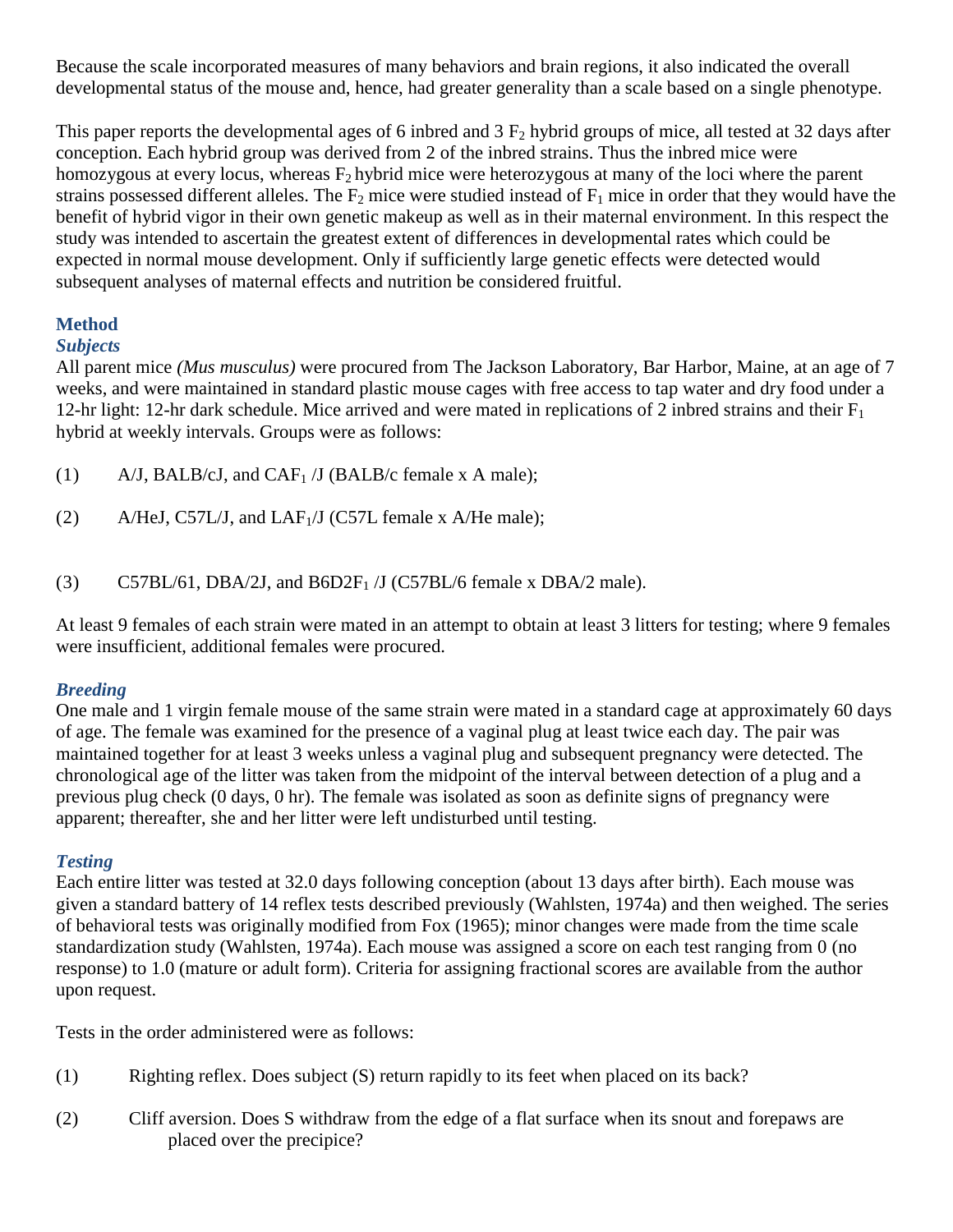Because the scale incorporated measures of many behaviors and brain regions, it also indicated the overall developmental status of the mouse and, hence, had greater generality than a scale based on a single phenotype.

This paper reports the developmental ages of 6 inbred and  $3 F_2$  hybrid groups of mice, all tested at 32 days after conception. Each hybrid group was derived from 2 of the inbred strains. Thus the inbred mice were homozygous at every locus, whereas  $F_2$  hybrid mice were heterozygous at many of the loci where the parent strains possessed different alleles. The  $F_2$  mice were studied instead of  $F_1$  mice in order that they would have the benefit of hybrid vigor in their own genetic makeup as well as in their maternal environment. In this respect the study was intended to ascertain the greatest extent of differences in developmental rates which could be expected in normal mouse development. Only if sufficiently large genetic effects were detected would subsequent analyses of maternal effects and nutrition be considered fruitful.

# **Method**

### *Subjects*

All parent mice *(Mus musculus)* were procured from The Jackson Laboratory, Bar Harbor, Maine, at an age of 7 weeks, and were maintained in standard plastic mouse cages with free access to tap water and dry food under a 12-hr light: 12-hr dark schedule. Mice arrived and were mated in replications of 2 inbred strains and their  $F_1$ hybrid at weekly intervals. Groups were as follows:

- (1)  $A/J$ , BALB/cJ, and CAF<sub>1</sub> /J (BALB/c female x A male);
- (2) A/HeJ, C57L/J, and LAF $_1$ /J (C57L female x A/He male);
- (3) C57BL/61, DBA/2J, and  $B6D2F<sub>1</sub>/J$  (C57BL/6 female x DBA/2 male).

At least 9 females of each strain were mated in an attempt to obtain at least 3 litters for testing; where 9 females were insufficient, additional females were procured.

### *Breeding*

One male and 1 virgin female mouse of the same strain were mated in a standard cage at approximately 60 days of age. The female was examined for the presence of a vaginal plug at least twice each day. The pair was maintained together for at least 3 weeks unless a vaginal plug and subsequent pregnancy were detected. The chronological age of the litter was taken from the midpoint of the interval between detection of a plug and a previous plug check (0 days, 0 hr). The female was isolated as soon as definite signs of pregnancy were apparent; thereafter, she and her litter were left undisturbed until testing.

### *Testing*

Each entire litter was tested at 32.0 days following conception (about 13 days after birth). Each mouse was given a standard battery of 14 reflex tests described previously (Wahlsten, 1974a) and then weighed. The series of behavioral tests was originally modified from Fox (1965); minor changes were made from the time scale standardization study (Wahlsten, 1974a). Each mouse was assigned a score on each test ranging from 0 (no response) to 1.0 (mature or adult form). Criteria for assigning fractional scores are available from the author upon request.

Tests in the order administered were as follows:

- (1) Righting reflex. Does subject (S) return rapidly to its feet when placed on its back?
- (2) Cliff aversion. Does S withdraw from the edge of a flat surface when its snout and forepaws are placed over the precipice?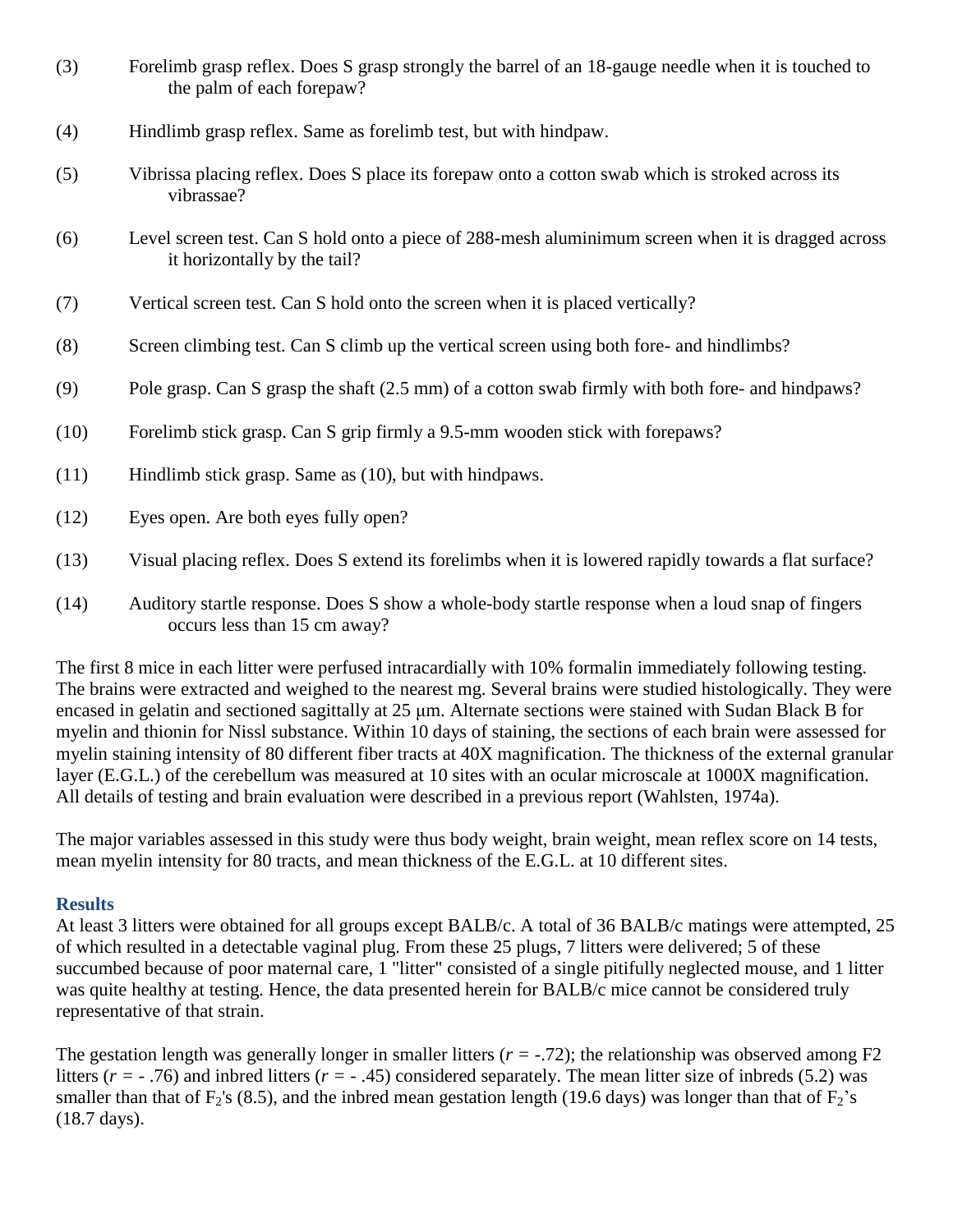| (3) | Forelimb grasp reflex. Does S grasp strongly the barrel of an 18-gauge needle when it is touched to |
|-----|-----------------------------------------------------------------------------------------------------|
|     | the palm of each forepaw?                                                                           |

- (4) Hindlimb grasp reflex. Same as forelimb test, but with hindpaw.
- (5) Vibrissa placing reflex. Does S place its forepaw onto a cotton swab which is stroked across its vibrassae?
- (6) Level screen test. Can S hold onto a piece of 288-mesh aluminimum screen when it is dragged across it horizontally by the tail?
- (7) Vertical screen test. Can S hold onto the screen when it is placed vertically?
- (8) Screen climbing test. Can S climb up the vertical screen using both fore- and hindlimbs?
- (9) Pole grasp. Can S grasp the shaft (2.5 mm) of a cotton swab firmly with both fore- and hindpaws?
- (10) Forelimb stick grasp. Can S grip firmly a 9.5-mm wooden stick with forepaws?
- (11) Hindlimb stick grasp. Same as (10), but with hindpaws.
- (12) Eyes open. Are both eyes fully open?
- (13) Visual placing reflex. Does S extend its forelimbs when it is lowered rapidly towards a flat surface?
- (14) Auditory startle response. Does S show a whole-body startle response when a loud snap of fingers occurs less than 15 cm away?

The first 8 mice in each litter were perfused intracardially with 10% formalin immediately following testing. The brains were extracted and weighed to the nearest mg. Several brains were studied histologically. They were encased in gelatin and sectioned sagittally at 25 μm. Alternate sections were stained with Sudan Black B for myelin and thionin for Nissl substance. Within 10 days of staining, the sections of each brain were assessed for myelin staining intensity of 80 different fiber tracts at 40X magnification. The thickness of the external granular layer (E.G.L.) of the cerebellum was measured at 10 sites with an ocular microscale at 1000X magnification. All details of testing and brain evaluation were described in a previous report (Wahlsten, 1974a).

The major variables assessed in this study were thus body weight, brain weight, mean reflex score on 14 tests, mean myelin intensity for 80 tracts, and mean thickness of the E.G.L. at 10 different sites.

#### **Results**

At least 3 litters were obtained for all groups except BALB/c. A total of 36 BALB/c matings were attempted, 25 of which resulted in a detectable vaginal plug. From these 25 plugs, 7 litters were delivered; 5 of these succumbed because of poor maternal care, 1 "litter" consisted of a single pitifully neglected mouse, and 1 litter was quite healthy at testing. Hence, the data presented herein for BALB/c mice cannot be considered truly representative of that strain.

The gestation length was generally longer in smaller litters  $(r = -0.72)$ ; the relationship was observed among F2 litters (*r =* - .76) and inbred litters (*r =* - .45) considered separately. The mean litter size of inbreds (5.2) was smaller than that of  $F_2$ 's (8.5), and the inbred mean gestation length (19.6 days) was longer than that of  $F_2$ 's (18.7 days).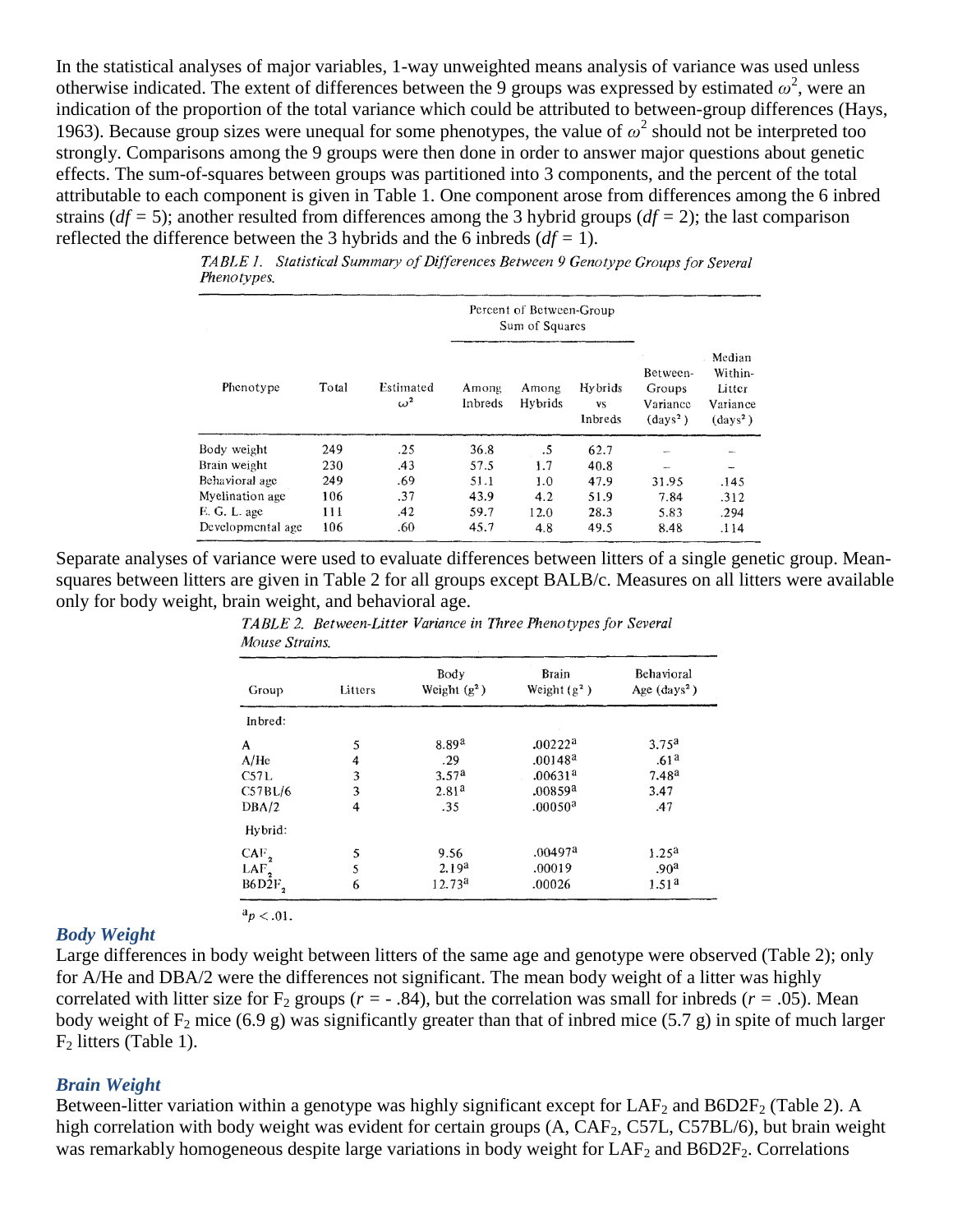In the statistical analyses of major variables, 1-way unweighted means analysis of variance was used unless otherwise indicated. The extent of differences between the 9 groups was expressed by estimated  $\omega^2$ , were an indication of the proportion of the total variance which could be attributed to between-group differences (Hays, 1963). Because group sizes were unequal for some phenotypes, the value of  $\omega^2$  should not be interpreted too strongly. Comparisons among the 9 groups were then done in order to answer major questions about genetic effects. The sum-of-squares between groups was partitioned into 3 components, and the percent of the total attributable to each component is given in Table 1. One component arose from differences among the 6 inbred strains (*df =* 5); another resulted from differences among the 3 hybrid groups (*df =* 2); the last comparison reflected the difference between the 3 hybrids and the 6 inbreds (*df =* 1).

|                    |  | TABLE 1. Statistical Summary of Differences Between 9 Genotype Groups for Several |  |  |
|--------------------|--|-----------------------------------------------------------------------------------|--|--|
| <i>Phenotypes.</i> |  |                                                                                   |  |  |
|                    |  |                                                                                   |  |  |

|                   |       |                         |                  | Percent of Between-Group<br>Sum of Squares |                                 |                                                  |                                                           |
|-------------------|-------|-------------------------|------------------|--------------------------------------------|---------------------------------|--------------------------------------------------|-----------------------------------------------------------|
| Phenotype         | Total | Estimated<br>$\omega^2$ | Among<br>Inbreds | Among<br>Hybrids                           | Hybrids<br><b>VS</b><br>Inbreds | Between-<br>Groups<br>Variance<br>$\rm (days^2)$ | Median<br>Within-<br>Litter<br>Variance<br>$\rm (days^2)$ |
| Body weight       | 249   | .25                     | 36.8             | .5                                         | 62.7                            |                                                  |                                                           |
| Brain weight      | 230   | .43                     | 57.5             | 1.7                                        | 40.8                            | $\sim$                                           | $\overline{\phantom{a}}$                                  |
| Behavioral age    | 249   | .69                     | 51.1             | 1.0                                        | 47.9                            | 31.95                                            | .145                                                      |
| Myelination age   | 106   | .37                     | 43.9             | 4.2                                        | 51.9                            | 7.84                                             | .312                                                      |
| E. G. L. age      | 111   | .42                     | 59.7             | 12.0                                       | 28.3                            | 5.83                                             | .294                                                      |
| Developmental age | 106   | .60                     | 45.7             | 4.8                                        | 49.5                            | 8.48                                             | .114                                                      |

Separate analyses of variance were used to evaluate differences between litters of a single genetic group. Meansquares between litters are given in Table 2 for all groups except BALB/c. Measures on all litters were available only for body weight, brain weight, and behavioral age.

| Group            | Litters | Body<br>Weight $(g^2)$ | <b>Brain</b><br>Weight $(g^2)$ | Behavioral<br>Age $(days^2)$ |  |
|------------------|---------|------------------------|--------------------------------|------------------------------|--|
| Inbred:          |         |                        |                                |                              |  |
| A                | 5       | $8.89^{a}$             | .00222a                        | 3.75 <sup>a</sup>            |  |
| A/He             | 4       | .29                    | $.00148^a$                     | .61 <sup>a</sup>             |  |
| C57L             | 3       | 3.57 <sup>a</sup>      | .00631 <sup>a</sup>            | $7.48^{a}$                   |  |
| C57BL/6          | 3       | 2.81 <sup>a</sup>      | .00859 <sup>3</sup>            | 3.47                         |  |
| DBA/2            | 4       | .35                    | .00050 <sup>a</sup>            | .47                          |  |
| Hybrid:          |         |                        |                                |                              |  |
| $CAF_{2}$        | 5       | 9.56                   | .00497 <sup>a</sup>            | 1.25 <sup>a</sup>            |  |
| LAF <sub>2</sub> | 5       | 2.19 <sup>a</sup>      | .00019                         | .90 <sup>a</sup>             |  |
| B6D2F,           | 6       | 12.73 <sup>a</sup>     | .00026                         | 1.51 <sup>a</sup>            |  |

TABLE 2. Between-Litter Variance in Three Phenotypes for Several Mouse Strains.

#### *Body Weight*

 $a_p < .01$ .

Large differences in body weight between litters of the same age and genotype were observed (Table 2); only for A/He and DBA/2 were the differences not significant. The mean body weight of a litter was highly correlated with litter size for  $F_2$  groups ( $r = -0.84$ ), but the correlation was small for inbreds ( $r = 0.05$ ). Mean body weight of F<sub>2</sub> mice (6.9 g) was significantly greater than that of inbred mice (5.7 g) in spite of much larger  $F<sub>2</sub>$  litters (Table 1).

#### *Brain Weight*

Between-litter variation within a genotype was highly significant except for  $LAF_2$  and  $B6D2F_2$  (Table 2). A high correlation with body weight was evident for certain groups (A, CAF<sub>2</sub>, C57L, C57BL/6), but brain weight was remarkably homogeneous despite large variations in body weight for  $LAF_2$  and  $B6D2F_2$ . Correlations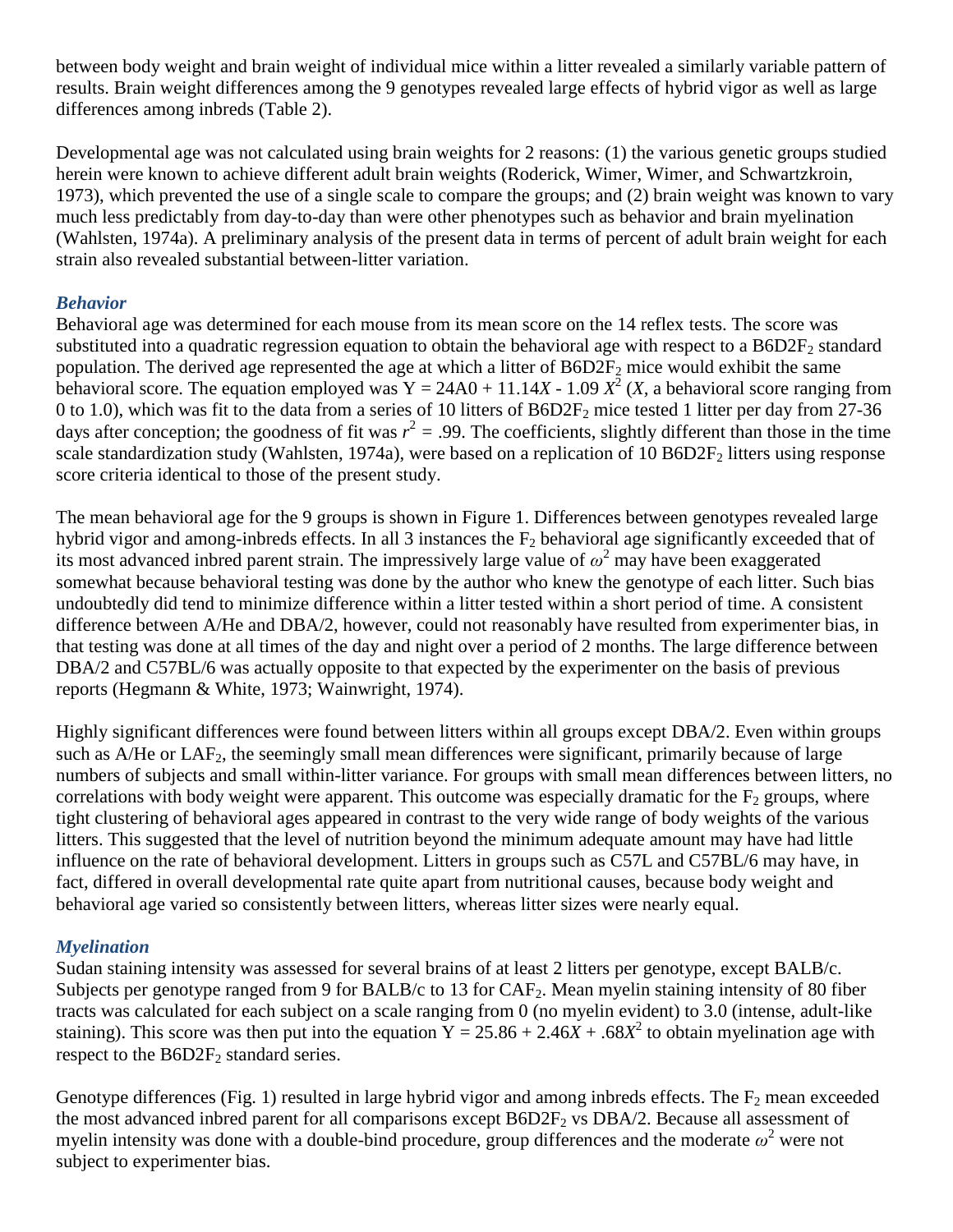between body weight and brain weight of individual mice within a litter revealed a similarly variable pattern of results. Brain weight differences among the 9 genotypes revealed large effects of hybrid vigor as well as large differences among inbreds (Table 2).

Developmental age was not calculated using brain weights for 2 reasons: (1) the various genetic groups studied herein were known to achieve different adult brain weights (Roderick, Wimer, Wimer, and Schwartzkroin, 1973), which prevented the use of a single scale to compare the groups; and (2) brain weight was known to vary much less predictably from day-to-day than were other phenotypes such as behavior and brain myelination (Wahlsten, 1974a). A preliminary analysis of the present data in terms of percent of adult brain weight for each strain also revealed substantial between-litter variation.

## *Behavior*

Behavioral age was determined for each mouse from its mean score on the 14 reflex tests. The score was substituted into a quadratic regression equation to obtain the behavioral age with respect to a  $B6D2F<sub>2</sub>$  standard population. The derived age represented the age at which a litter of  $B6D2F_2$  mice would exhibit the same behavioral score. The equation employed was  $Y = 24A0 + 11.14X - 1.09 X^2$  (*X*, a behavioral score ranging from 0 to 1.0), which was fit to the data from a series of 10 litters of  $B6D2F<sub>2</sub>$  mice tested 1 litter per day from 27-36 days after conception; the goodness of fit was  $r^2 = .99$ . The coefficients, slightly different than those in the time scale standardization study (Wahlsten, 1974a), were based on a replication of 10 B6D2 $F_2$  litters using response score criteria identical to those of the present study.

The mean behavioral age for the 9 groups is shown in Figure 1. Differences between genotypes revealed large hybrid vigor and among-inbreds effects. In all 3 instances the  $F_2$  behavioral age significantly exceeded that of its most advanced inbred parent strain. The impressively large value of  $\omega^2$  may have been exaggerated somewhat because behavioral testing was done by the author who knew the genotype of each litter. Such bias undoubtedly did tend to minimize difference within a litter tested within a short period of time. A consistent difference between A/He and DBA/2, however, could not reasonably have resulted from experimenter bias, in that testing was done at all times of the day and night over a period of 2 months. The large difference between DBA/2 and C57BL/6 was actually opposite to that expected by the experimenter on the basis of previous reports (Hegmann & White, 1973; Wainwright, 1974).

Highly significant differences were found between litters within all groups except DBA/2. Even within groups such as  $A/He$  or  $LAF<sub>2</sub>$ , the seemingly small mean differences were significant, primarily because of large numbers of subjects and small within-litter variance. For groups with small mean differences between litters, no correlations with body weight were apparent. This outcome was especially dramatic for the  $F_2$  groups, where tight clustering of behavioral ages appeared in contrast to the very wide range of body weights of the various litters. This suggested that the level of nutrition beyond the minimum adequate amount may have had little influence on the rate of behavioral development. Litters in groups such as C57L and C57BL/6 may have, in fact, differed in overall developmental rate quite apart from nutritional causes, because body weight and behavioral age varied so consistently between litters, whereas litter sizes were nearly equal.

# *Myelination*

Sudan staining intensity was assessed for several brains of at least 2 litters per genotype, except BALB/c. Subjects per genotype ranged from 9 for BALB/c to 13 for CAF<sub>2</sub>. Mean myelin staining intensity of 80 fiber tracts was calculated for each subject on a scale ranging from 0 (no myelin evident) to 3.0 (intense, adult-like staining). This score was then put into the equation  $Y = 25.86 + 2.46X + .68X^2$  to obtain myelination age with respect to the  $B6D2F_2$  standard series.

Genotype differences (Fig. 1) resulted in large hybrid vigor and among inbreds effects. The  $F_2$  mean exceeded the most advanced inbred parent for all comparisons except  $B6D2F<sub>2</sub>$  vs  $DBA/2$ . Because all assessment of myelin intensity was done with a double-bind procedure, group differences and the moderate  $\omega^2$  were not subject to experimenter bias.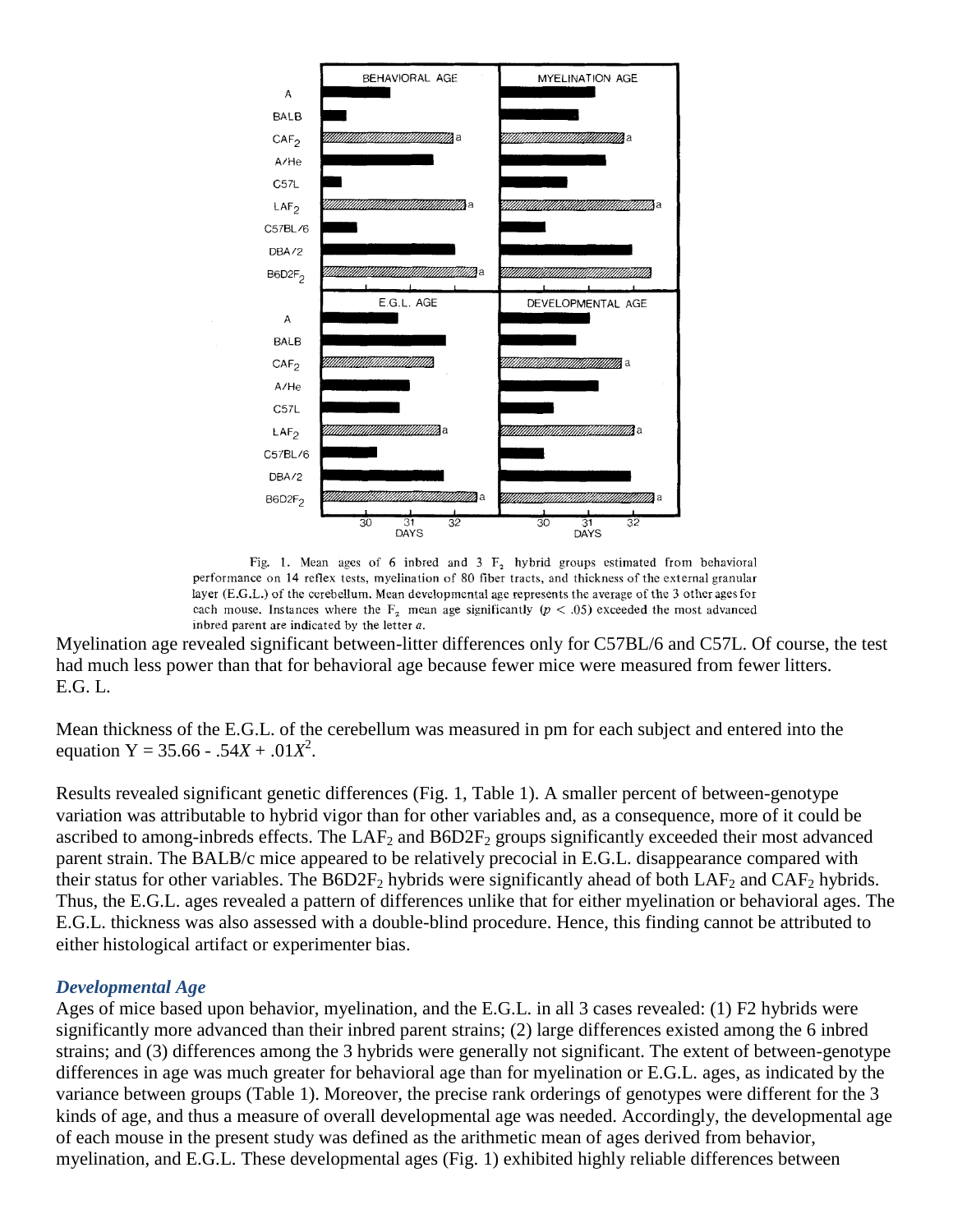

Fig. 1. Mean ages of 6 inbred and 3  $F_2$  hybrid groups estimated from behavioral performance on 14 reflex tests, myelination of 80 fiber tracts, and thickness of the external granular layer (E.G.L.) of the cerebellum. Mean developmental age represents the average of the 3 other ages for each mouse. Instances where the  $F_2$  mean age significantly  $(p < .05)$  exceeded the most advanced inbred parent are indicated by the letter  $a$ .

Myelination age revealed significant between-litter differences only for C57BL/6 and C57L. Of course, the test had much less power than that for behavioral age because fewer mice were measured from fewer litters. E.G. L.

Mean thickness of the E.G.L. of the cerebellum was measured in pm for each subject and entered into the equation  $Y = 35.66 - .54X + .01X^2$ .

Results revealed significant genetic differences (Fig. 1, Table 1). A smaller percent of between-genotype variation was attributable to hybrid vigor than for other variables and, as a consequence, more of it could be ascribed to among-inbreds effects. The  $LAF_2$  and  $B6D2F_2$  groups significantly exceeded their most advanced parent strain. The BALB/c mice appeared to be relatively precocial in E.G.L. disappearance compared with their status for other variables. The  $B6D2F_2$  hybrids were significantly ahead of both  $LAF_2$  and  $CAF_2$  hybrids. Thus, the E.G.L. ages revealed a pattern of differences unlike that for either myelination or behavioral ages. The E.G.L. thickness was also assessed with a double-blind procedure. Hence, this finding cannot be attributed to either histological artifact or experimenter bias.

#### *Developmental Age*

Ages of mice based upon behavior, myelination, and the E.G.L. in all 3 cases revealed: (1) F2 hybrids were significantly more advanced than their inbred parent strains; (2) large differences existed among the 6 inbred strains; and (3) differences among the 3 hybrids were generally not significant. The extent of between-genotype differences in age was much greater for behavioral age than for myelination or E.G.L. ages, as indicated by the variance between groups (Table 1). Moreover, the precise rank orderings of genotypes were different for the 3 kinds of age, and thus a measure of overall developmental age was needed. Accordingly, the developmental age of each mouse in the present study was defined as the arithmetic mean of ages derived from behavior, myelination, and E.G.L. These developmental ages (Fig. 1) exhibited highly reliable differences between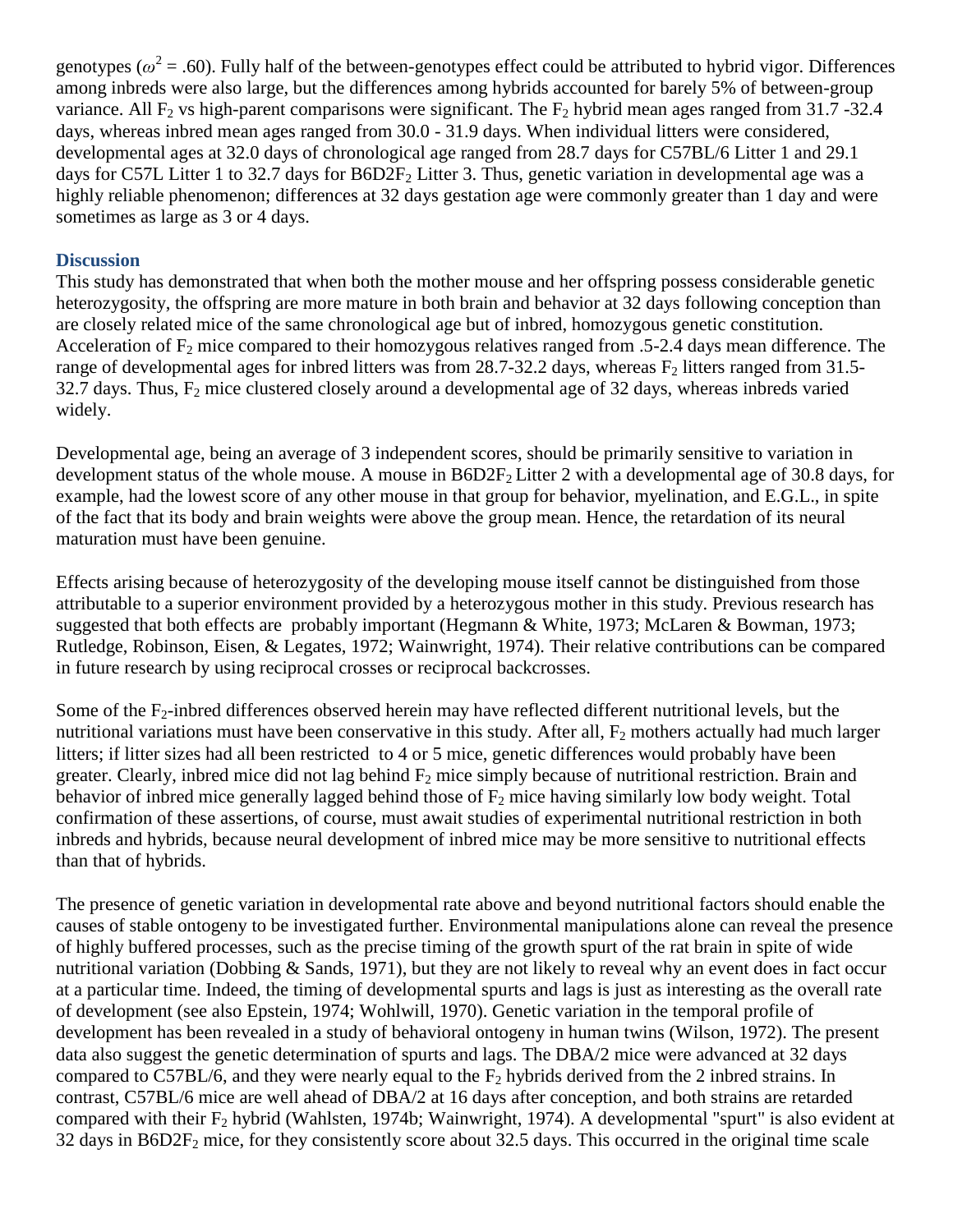genotypes ( $\omega^2$  = .60). Fully half of the between-genotypes effect could be attributed to hybrid vigor. Differences among inbreds were also large, but the differences among hybrids accounted for barely 5% of between-group variance. All F<sub>2</sub> vs high-parent comparisons were significant. The F<sub>2</sub> hybrid mean ages ranged from 31.7 -32.4 days, whereas inbred mean ages ranged from 30.0 - 31.9 days. When individual litters were considered, developmental ages at 32.0 days of chronological age ranged from 28.7 days for C57BL/6 Litter 1 and 29.1 days for C57L Litter 1 to 32.7 days for  $B6D2F_2$  Litter 3. Thus, genetic variation in developmental age was a highly reliable phenomenon; differences at 32 days gestation age were commonly greater than 1 day and were sometimes as large as 3 or 4 days.

#### **Discussion**

This study has demonstrated that when both the mother mouse and her offspring possess considerable genetic heterozygosity, the offspring are more mature in both brain and behavior at 32 days following conception than are closely related mice of the same chronological age but of inbred, homozygous genetic constitution. Acceleration of  $F_2$  mice compared to their homozygous relatives ranged from .5-2.4 days mean difference. The range of developmental ages for inbred litters was from 28.7-32.2 days, whereas  $F_2$  litters ranged from 31.5- $32.7$  days. Thus,  $F_2$  mice clustered closely around a developmental age of 32 days, whereas inbreds varied widely.

Developmental age, being an average of 3 independent scores, should be primarily sensitive to variation in development status of the whole mouse. A mouse in  $B6D2F<sub>2</sub>$  Litter 2 with a developmental age of 30.8 days, for example, had the lowest score of any other mouse in that group for behavior, myelination, and E.G.L., in spite of the fact that its body and brain weights were above the group mean. Hence, the retardation of its neural maturation must have been genuine.

Effects arising because of heterozygosity of the developing mouse itself cannot be distinguished from those attributable to a superior environment provided by a heterozygous mother in this study. Previous research has suggested that both effects are probably important (Hegmann & White, 1973; McLaren & Bowman, 1973; Rutledge, Robinson, Eisen, & Legates, 1972; Wainwright, 1974). Their relative contributions can be compared in future research by using reciprocal crosses or reciprocal backcrosses.

Some of the  $F_2$ -inbred differences observed herein may have reflected different nutritional levels, but the nutritional variations must have been conservative in this study. After all,  $F_2$  mothers actually had much larger litters; if litter sizes had all been restricted to 4 or 5 mice, genetic differences would probably have been greater. Clearly, inbred mice did not lag behind  $F_2$  mice simply because of nutritional restriction. Brain and behavior of inbred mice generally lagged behind those of  $F_2$  mice having similarly low body weight. Total confirmation of these assertions, of course, must await studies of experimental nutritional restriction in both inbreds and hybrids, because neural development of inbred mice may be more sensitive to nutritional effects than that of hybrids.

The presence of genetic variation in developmental rate above and beyond nutritional factors should enable the causes of stable ontogeny to be investigated further. Environmental manipulations alone can reveal the presence of highly buffered processes, such as the precise timing of the growth spurt of the rat brain in spite of wide nutritional variation (Dobbing & Sands, 1971), but they are not likely to reveal why an event does in fact occur at a particular time. Indeed, the timing of developmental spurts and lags is just as interesting as the overall rate of development (see also Epstein, 1974; Wohlwill, 1970). Genetic variation in the temporal profile of development has been revealed in a study of behavioral ontogeny in human twins (Wilson, 1972). The present data also suggest the genetic determination of spurts and lags. The DBA/2 mice were advanced at 32 days compared to C57BL/6, and they were nearly equal to the  $F_2$  hybrids derived from the 2 inbred strains. In contrast, C57BL/6 mice are well ahead of DBA/2 at 16 days after conception, and both strains are retarded compared with their  $F_2$  hybrid (Wahlsten, 1974b; Wainwright, 1974). A developmental "spurt" is also evident at  $32$  days in B6D2F<sub>2</sub> mice, for they consistently score about  $32.5$  days. This occurred in the original time scale